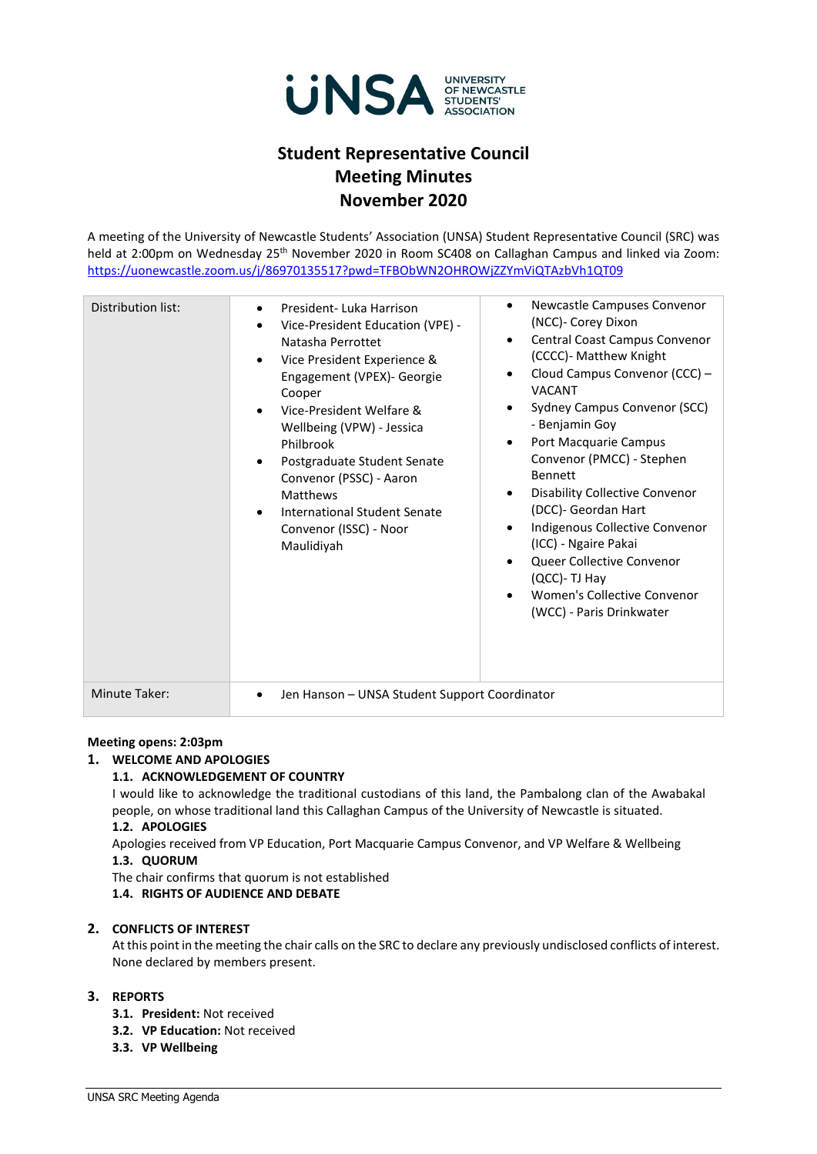

# **Student Representative Council Meeting Minutes November 2020**

A meeting of the University of Newcastle Students' Association (UNSA) Student Representative Council (SRC) was held at 2:00pm on Wednesday 25<sup>th</sup> November 2020 in Room SC408 on Callaghan Campus and linked via Zoom: <https://uonewcastle.zoom.us/j/86970135517?pwd=TFBObWN2OHROWjZZYmViQTAzbVh1QT09>

| Distribution list:   | President-Luka Harrison<br>$\bullet$<br>Vice-President Education (VPE) -<br>Natasha Perrottet<br>Vice President Experience &<br>$\bullet$<br>Engagement (VPEX)- Georgie<br>Cooper<br>Vice-President Welfare &<br>Wellbeing (VPW) - Jessica<br>Philbrook<br>Postgraduate Student Senate<br>$\bullet$<br>Convenor (PSSC) - Aaron<br>Matthews<br>International Student Senate<br>Convenor (ISSC) - Noor<br>Maulidiyah | Newcastle Campuses Convenor<br>$\bullet$<br>(NCC)- Corey Dixon<br>Central Coast Campus Convenor<br>$\bullet$<br>(CCCC)- Matthew Knight<br>Cloud Campus Convenor (CCC) -<br><b>VACANT</b><br>Sydney Campus Convenor (SCC)<br>- Benjamin Goy<br>Port Macquarie Campus<br>$\bullet$<br>Convenor (PMCC) - Stephen<br><b>Bennett</b><br><b>Disability Collective Convenor</b><br>$\bullet$<br>(DCC)- Geordan Hart<br>Indigenous Collective Convenor<br>$\bullet$<br>(ICC) - Ngaire Pakai<br>Queer Collective Convenor<br>$\bullet$<br>(QCC)- TJ Hay<br>Women's Collective Convenor<br>(WCC) - Paris Drinkwater |
|----------------------|--------------------------------------------------------------------------------------------------------------------------------------------------------------------------------------------------------------------------------------------------------------------------------------------------------------------------------------------------------------------------------------------------------------------|-----------------------------------------------------------------------------------------------------------------------------------------------------------------------------------------------------------------------------------------------------------------------------------------------------------------------------------------------------------------------------------------------------------------------------------------------------------------------------------------------------------------------------------------------------------------------------------------------------------|
| <b>Minute Taker:</b> | Jen Hanson - UNSA Student Support Coordinator                                                                                                                                                                                                                                                                                                                                                                      |                                                                                                                                                                                                                                                                                                                                                                                                                                                                                                                                                                                                           |

#### **Meeting opens: 2:03pm**

#### **1. WELCOME AND APOLOGIES**

#### **1.1. ACKNOWLEDGEMENT OF COUNTRY**

I would like to acknowledge the traditional custodians of this land, the Pambalong clan of the Awabakal people, on whose traditional land this Callaghan Campus of the University of Newcastle is situated.

# **1.2. APOLOGIES**

Apologies received from VP Education, Port Macquarie Campus Convenor, and VP Welfare & Wellbeing

# **1.3. QUORUM**

The chair confirms that quorum is not established

# **1.4. RIGHTS OF AUDIENCE AND DEBATE**

#### **2. CONFLICTS OF INTEREST**

At this point in the meeting the chair calls on the SRC to declare any previously undisclosed conflicts of interest. None declared by members present.

## **3. REPORTS**

- **3.1. President:** Not received
- **3.2. VP Education:** Not received
- **3.3. VP Wellbeing**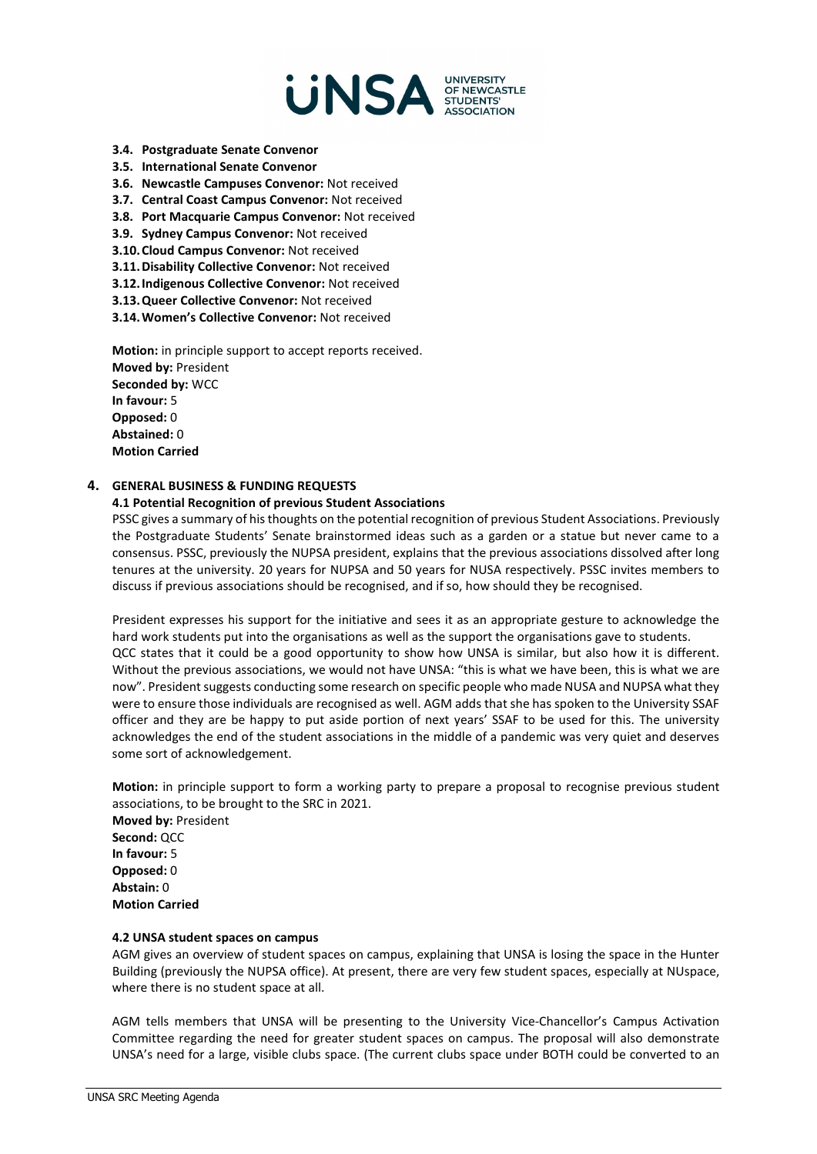

- **3.4. Postgraduate Senate Convenor**
- **3.5. International Senate Convenor**
- **3.6. Newcastle Campuses Convenor:** Not received
- **3.7. Central Coast Campus Convenor:** Not received
- **3.8. Port Macquarie Campus Convenor:** Not received
- **3.9. Sydney Campus Convenor:** Not received
- **3.10.Cloud Campus Convenor:** Not received
- **3.11.Disability Collective Convenor:** Not received
- **3.12.Indigenous Collective Convenor:** Not received
- **3.13.Queer Collective Convenor:** Not received
- **3.14.Women's Collective Convenor:** Not received

**Motion:** in principle support to accept reports received. **Moved by:** President **Seconded by:** WCC **In favour:** 5 **Opposed:** 0 **Abstained:** 0 **Motion Carried**

### **4. GENERAL BUSINESS & FUNDING REQUESTS**

#### **4.1 Potential Recognition of previous Student Associations**

PSSC gives a summary of his thoughts on the potential recognition of previous Student Associations. Previously the Postgraduate Students' Senate brainstormed ideas such as a garden or a statue but never came to a consensus. PSSC, previously the NUPSA president, explains that the previous associations dissolved after long tenures at the university. 20 years for NUPSA and 50 years for NUSA respectively. PSSC invites members to discuss if previous associations should be recognised, and if so, how should they be recognised.

President expresses his support for the initiative and sees it as an appropriate gesture to acknowledge the hard work students put into the organisations as well as the support the organisations gave to students. QCC states that it could be a good opportunity to show how UNSA is similar, but also how it is different. Without the previous associations, we would not have UNSA: "this is what we have been, this is what we are now". President suggests conducting some research on specific people who made NUSA and NUPSA what they were to ensure those individuals are recognised as well. AGM adds that she has spoken to the University SSAF officer and they are be happy to put aside portion of next years' SSAF to be used for this. The university acknowledges the end of the student associations in the middle of a pandemic was very quiet and deserves some sort of acknowledgement.

**Motion:** in principle support to form a working party to prepare a proposal to recognise previous student associations, to be brought to the SRC in 2021.

**Moved by:** President **Second:** QCC **In favour:** 5 **Opposed:** 0 **Abstain:** 0 **Motion Carried**

#### **4.2 UNSA student spaces on campus**

AGM gives an overview of student spaces on campus, explaining that UNSA is losing the space in the Hunter Building (previously the NUPSA office). At present, there are very few student spaces, especially at NUspace, where there is no student space at all.

AGM tells members that UNSA will be presenting to the University Vice-Chancellor's Campus Activation Committee regarding the need for greater student spaces on campus. The proposal will also demonstrate UNSA's need for a large, visible clubs space. (The current clubs space under BOTH could be converted to an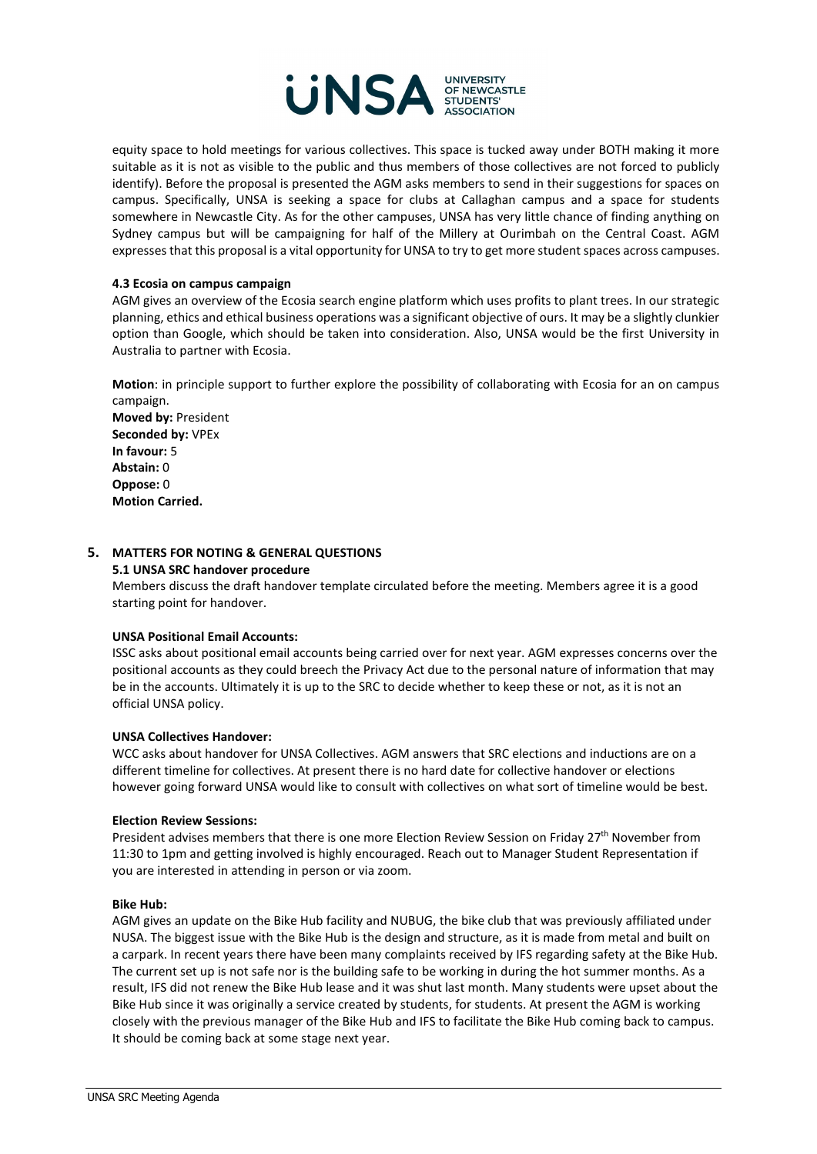

equity space to hold meetings for various collectives. This space is tucked away under BOTH making it more suitable as it is not as visible to the public and thus members of those collectives are not forced to publicly identify). Before the proposal is presented the AGM asks members to send in their suggestions for spaces on campus. Specifically, UNSA is seeking a space for clubs at Callaghan campus and a space for students somewhere in Newcastle City. As for the other campuses, UNSA has very little chance of finding anything on Sydney campus but will be campaigning for half of the Millery at Ourimbah on the Central Coast. AGM expresses that this proposal is a vital opportunity for UNSA to try to get more student spaces across campuses.

#### **4.3 Ecosia on campus campaign**

AGM gives an overview of the Ecosia search engine platform which uses profits to plant trees. In our strategic planning, ethics and ethical business operations was a significant objective of ours. It may be a slightly clunkier option than Google, which should be taken into consideration. Also, UNSA would be the first University in Australia to partner with Ecosia.

**Motion**: in principle support to further explore the possibility of collaborating with Ecosia for an on campus campaign. **Moved by:** President **Seconded by:** VPEx **In favour:** 5 **Abstain:** 0 **Oppose:** 0 **Motion Carried.**

#### **5. MATTERS FOR NOTING & GENERAL QUESTIONS**

#### **5.1 UNSA SRC handover procedure**

Members discuss the draft handover template circulated before the meeting. Members agree it is a good starting point for handover.

#### **UNSA Positional Email Accounts:**

ISSC asks about positional email accounts being carried over for next year. AGM expresses concerns over the positional accounts as they could breech the Privacy Act due to the personal nature of information that may be in the accounts. Ultimately it is up to the SRC to decide whether to keep these or not, as it is not an official UNSA policy.

#### **UNSA Collectives Handover:**

WCC asks about handover for UNSA Collectives. AGM answers that SRC elections and inductions are on a different timeline for collectives. At present there is no hard date for collective handover or elections however going forward UNSA would like to consult with collectives on what sort of timeline would be best.

#### **Election Review Sessions:**

President advises members that there is one more Election Review Session on Friday 27<sup>th</sup> November from 11:30 to 1pm and getting involved is highly encouraged. Reach out to Manager Student Representation if you are interested in attending in person or via zoom.

#### **Bike Hub:**

AGM gives an update on the Bike Hub facility and NUBUG, the bike club that was previously affiliated under NUSA. The biggest issue with the Bike Hub is the design and structure, as it is made from metal and built on a carpark. In recent years there have been many complaints received by IFS regarding safety at the Bike Hub. The current set up is not safe nor is the building safe to be working in during the hot summer months. As a result, IFS did not renew the Bike Hub lease and it was shut last month. Many students were upset about the Bike Hub since it was originally a service created by students, for students. At present the AGM is working closely with the previous manager of the Bike Hub and IFS to facilitate the Bike Hub coming back to campus. It should be coming back at some stage next year.